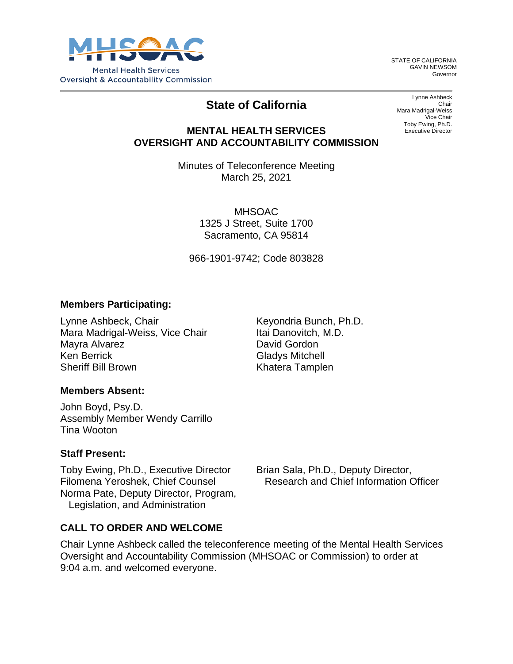

STATE OF CALIFORNIA GAVIN NEWSOM Governor

# **State of California**

Lynne Ashbeck Chair Mara Madrigal-Weiss Vice Chair Toby Ewing, Ph.D. Executive Director

### **MENTAL HEALTH SERVICES OVERSIGHT AND ACCOUNTABILITY COMMISSION**

Minutes of Teleconference Meeting March 25, 2021

> MHSOAC 1325 J Street, Suite 1700 Sacramento, CA 95814

966-1901-9742; Code 803828

#### **Members Participating:**

Lynne Ashbeck, Chair Mara Madrigal-Weiss, Vice Chair Mayra Alvarez Ken Berrick Sheriff Bill Brown

Keyondria Bunch, Ph.D. Itai Danovitch, M.D. David Gordon Gladys Mitchell Khatera Tamplen

### **Members Absent:**

John Boyd, Psy.D. Assembly Member Wendy Carrillo Tina Wooton

#### **Staff Present:**

Toby Ewing, Ph.D., Executive Director Filomena Yeroshek, Chief Counsel Norma Pate, Deputy Director, Program, Legislation, and Administration

Brian Sala, Ph.D., Deputy Director, Research and Chief Information Officer

### **CALL TO ORDER AND WELCOME**

Chair Lynne Ashbeck called the teleconference meeting of the Mental Health Services Oversight and Accountability Commission (MHSOAC or Commission) to order at 9:04 a.m. and welcomed everyone.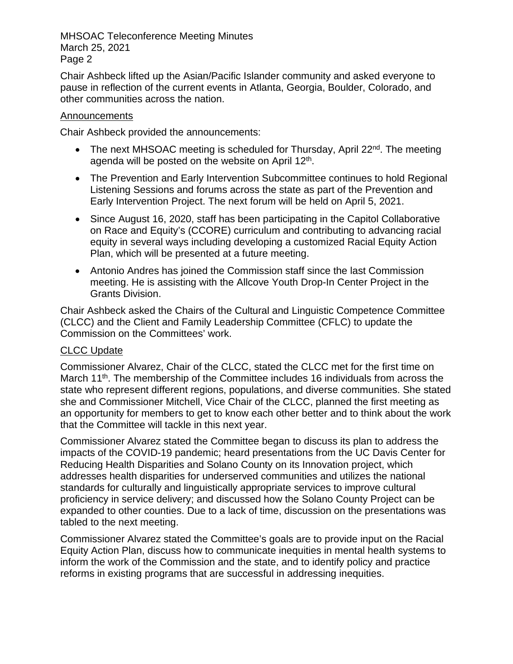Chair Ashbeck lifted up the Asian/Pacific Islander community and asked everyone to pause in reflection of the current events in Atlanta, Georgia, Boulder, Colorado, and other communities across the nation.

#### **Announcements**

Chair Ashbeck provided the announcements:

- The next MHSOAC meeting is scheduled for Thursday, April 22<sup>nd</sup>. The meeting agenda will be posted on the website on April  $12<sup>th</sup>$ .
- The Prevention and Early Intervention Subcommittee continues to hold Regional Listening Sessions and forums across the state as part of the Prevention and Early Intervention Project. The next forum will be held on April 5, 2021.
- Since August 16, 2020, staff has been participating in the Capitol Collaborative on Race and Equity's (CCORE) curriculum and contributing to advancing racial equity in several ways including developing a customized Racial Equity Action Plan, which will be presented at a future meeting.
- Antonio Andres has joined the Commission staff since the last Commission meeting. He is assisting with the Allcove Youth Drop-In Center Project in the Grants Division.

Chair Ashbeck asked the Chairs of the Cultural and Linguistic Competence Committee (CLCC) and the Client and Family Leadership Committee (CFLC) to update the Commission on the Committees' work.

### CLCC Update

Commissioner Alvarez, Chair of the CLCC, stated the CLCC met for the first time on March 11<sup>th</sup>. The membership of the Committee includes 16 individuals from across the state who represent different regions, populations, and diverse communities. She stated she and Commissioner Mitchell, Vice Chair of the CLCC, planned the first meeting as an opportunity for members to get to know each other better and to think about the work that the Committee will tackle in this next year.

Commissioner Alvarez stated the Committee began to discuss its plan to address the impacts of the COVID-19 pandemic; heard presentations from the UC Davis Center for Reducing Health Disparities and Solano County on its Innovation project, which addresses health disparities for underserved communities and utilizes the national standards for culturally and linguistically appropriate services to improve cultural proficiency in service delivery; and discussed how the Solano County Project can be expanded to other counties. Due to a lack of time, discussion on the presentations was tabled to the next meeting.

Commissioner Alvarez stated the Committee's goals are to provide input on the Racial Equity Action Plan, discuss how to communicate inequities in mental health systems to inform the work of the Commission and the state, and to identify policy and practice reforms in existing programs that are successful in addressing inequities.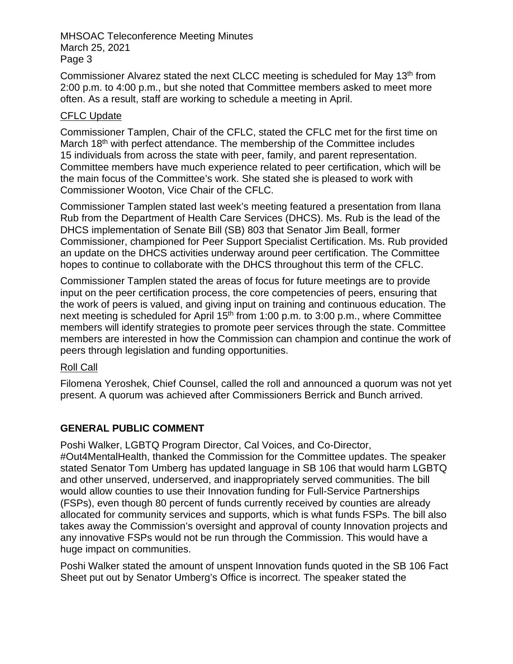Commissioner Alvarez stated the next CLCC meeting is scheduled for May 13<sup>th</sup> from 2:00 p.m. to 4:00 p.m., but she noted that Committee members asked to meet more often. As a result, staff are working to schedule a meeting in April.

### CFLC Update

Commissioner Tamplen, Chair of the CFLC, stated the CFLC met for the first time on March 18<sup>th</sup> with perfect attendance. The membership of the Committee includes 15 individuals from across the state with peer, family, and parent representation. Committee members have much experience related to peer certification, which will be the main focus of the Committee's work. She stated she is pleased to work with Commissioner Wooton, Vice Chair of the CFLC.

Commissioner Tamplen stated last week's meeting featured a presentation from Ilana Rub from the Department of Health Care Services (DHCS). Ms. Rub is the lead of the DHCS implementation of Senate Bill (SB) 803 that Senator Jim Beall, former Commissioner, championed for Peer Support Specialist Certification. Ms. Rub provided an update on the DHCS activities underway around peer certification. The Committee hopes to continue to collaborate with the DHCS throughout this term of the CFLC.

Commissioner Tamplen stated the areas of focus for future meetings are to provide input on the peer certification process, the core competencies of peers, ensuring that the work of peers is valued, and giving input on training and continuous education. The next meeting is scheduled for April  $15<sup>th</sup>$  from 1:00 p.m. to 3:00 p.m., where Committee members will identify strategies to promote peer services through the state. Committee members are interested in how the Commission can champion and continue the work of peers through legislation and funding opportunities.

### Roll Call

Filomena Yeroshek, Chief Counsel, called the roll and announced a quorum was not yet present. A quorum was achieved after Commissioners Berrick and Bunch arrived.

# **GENERAL PUBLIC COMMENT**

Poshi Walker, LGBTQ Program Director, Cal Voices, and Co-Director, #Out4MentalHealth, thanked the Commission for the Committee updates. The speaker stated Senator Tom Umberg has updated language in SB 106 that would harm LGBTQ and other unserved, underserved, and inappropriately served communities. The bill would allow counties to use their Innovation funding for Full-Service Partnerships (FSPs), even though 80 percent of funds currently received by counties are already allocated for community services and supports, which is what funds FSPs. The bill also takes away the Commission's oversight and approval of county Innovation projects and any innovative FSPs would not be run through the Commission. This would have a huge impact on communities.

Poshi Walker stated the amount of unspent Innovation funds quoted in the SB 106 Fact Sheet put out by Senator Umberg's Office is incorrect. The speaker stated the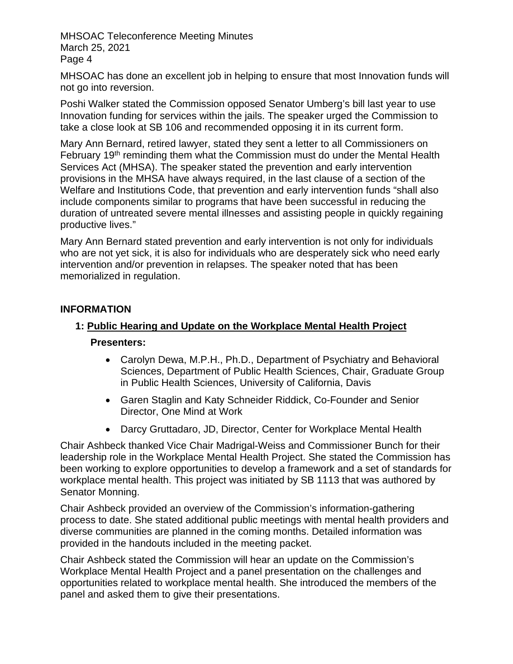MHSOAC has done an excellent job in helping to ensure that most Innovation funds will not go into reversion.

Poshi Walker stated the Commission opposed Senator Umberg's bill last year to use Innovation funding for services within the jails. The speaker urged the Commission to take a close look at SB 106 and recommended opposing it in its current form.

Mary Ann Bernard, retired lawyer, stated they sent a letter to all Commissioners on February 19<sup>th</sup> reminding them what the Commission must do under the Mental Health Services Act (MHSA). The speaker stated the prevention and early intervention provisions in the MHSA have always required, in the last clause of a section of the Welfare and Institutions Code, that prevention and early intervention funds "shall also include components similar to programs that have been successful in reducing the duration of untreated severe mental illnesses and assisting people in quickly regaining productive lives."

Mary Ann Bernard stated prevention and early intervention is not only for individuals who are not yet sick, it is also for individuals who are desperately sick who need early intervention and/or prevention in relapses. The speaker noted that has been memorialized in regulation.

### **INFORMATION**

### **1: Public Hearing and Update on the Workplace Mental Health Project**

### **Presenters:**

- Carolyn Dewa, M.P.H., Ph.D., Department of Psychiatry and Behavioral Sciences, Department of Public Health Sciences, Chair, Graduate Group in Public Health Sciences, University of California, Davis
- Garen Staglin and Katy Schneider Riddick, Co-Founder and Senior Director, One Mind at Work
- Darcy Gruttadaro, JD, Director, Center for Workplace Mental Health

Chair Ashbeck thanked Vice Chair Madrigal-Weiss and Commissioner Bunch for their leadership role in the Workplace Mental Health Project. She stated the Commission has been working to explore opportunities to develop a framework and a set of standards for workplace mental health. This project was initiated by SB 1113 that was authored by Senator Monning.

Chair Ashbeck provided an overview of the Commission's information-gathering process to date. She stated additional public meetings with mental health providers and diverse communities are planned in the coming months. Detailed information was provided in the handouts included in the meeting packet.

Chair Ashbeck stated the Commission will hear an update on the Commission's Workplace Mental Health Project and a panel presentation on the challenges and opportunities related to workplace mental health. She introduced the members of the panel and asked them to give their presentations.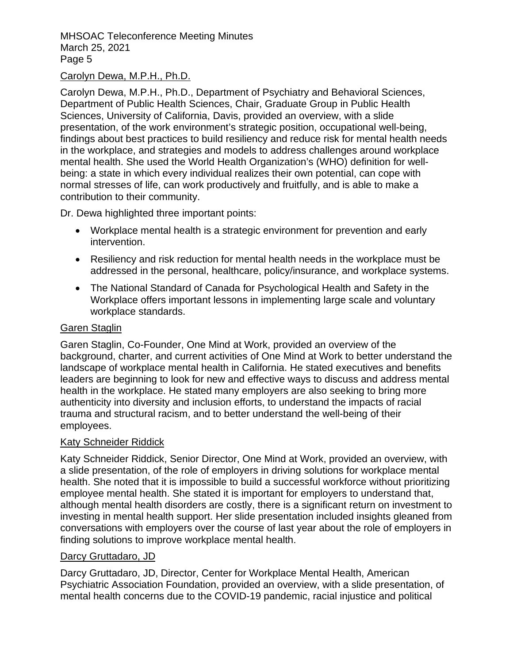### Carolyn Dewa, M.P.H., Ph.D.

Carolyn Dewa, M.P.H., Ph.D., Department of Psychiatry and Behavioral Sciences, Department of Public Health Sciences, Chair, Graduate Group in Public Health Sciences, University of California, Davis, provided an overview, with a slide presentation, of the work environment's strategic position, occupational well-being, findings about best practices to build resiliency and reduce risk for mental health needs in the workplace, and strategies and models to address challenges around workplace mental health. She used the World Health Organization's (WHO) definition for wellbeing: a state in which every individual realizes their own potential, can cope with normal stresses of life, can work productively and fruitfully, and is able to make a contribution to their community.

Dr. Dewa highlighted three important points:

- Workplace mental health is a strategic environment for prevention and early intervention.
- Resiliency and risk reduction for mental health needs in the workplace must be addressed in the personal, healthcare, policy/insurance, and workplace systems.
- The National Standard of Canada for Psychological Health and Safety in the Workplace offers important lessons in implementing large scale and voluntary workplace standards.

### Garen Staglin

Garen Staglin, Co-Founder, One Mind at Work, provided an overview of the background, charter, and current activities of One Mind at Work to better understand the landscape of workplace mental health in California. He stated executives and benefits leaders are beginning to look for new and effective ways to discuss and address mental health in the workplace. He stated many employers are also seeking to bring more authenticity into diversity and inclusion efforts, to understand the impacts of racial trauma and structural racism, and to better understand the well-being of their employees.

### Katy Schneider Riddick

Katy Schneider Riddick, Senior Director, One Mind at Work, provided an overview, with a slide presentation, of the role of employers in driving solutions for workplace mental health. She noted that it is impossible to build a successful workforce without prioritizing employee mental health. She stated it is important for employers to understand that, although mental health disorders are costly, there is a significant return on investment to investing in mental health support. Her slide presentation included insights gleaned from conversations with employers over the course of last year about the role of employers in finding solutions to improve workplace mental health.

### Darcy Gruttadaro, JD

Darcy Gruttadaro, JD, Director, Center for Workplace Mental Health, American Psychiatric Association Foundation, provided an overview, with a slide presentation, of mental health concerns due to the COVID-19 pandemic, racial injustice and political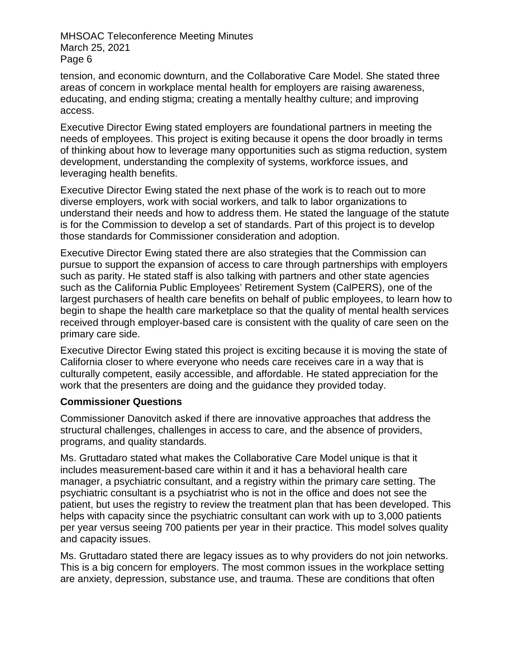tension, and economic downturn, and the Collaborative Care Model. She stated three areas of concern in workplace mental health for employers are raising awareness, educating, and ending stigma; creating a mentally healthy culture; and improving access.

Executive Director Ewing stated employers are foundational partners in meeting the needs of employees. This project is exiting because it opens the door broadly in terms of thinking about how to leverage many opportunities such as stigma reduction, system development, understanding the complexity of systems, workforce issues, and leveraging health benefits.

Executive Director Ewing stated the next phase of the work is to reach out to more diverse employers, work with social workers, and talk to labor organizations to understand their needs and how to address them. He stated the language of the statute is for the Commission to develop a set of standards. Part of this project is to develop those standards for Commissioner consideration and adoption.

Executive Director Ewing stated there are also strategies that the Commission can pursue to support the expansion of access to care through partnerships with employers such as parity. He stated staff is also talking with partners and other state agencies such as the California Public Employees' Retirement System (CalPERS), one of the largest purchasers of health care benefits on behalf of public employees, to learn how to begin to shape the health care marketplace so that the quality of mental health services received through employer-based care is consistent with the quality of care seen on the primary care side.

Executive Director Ewing stated this project is exciting because it is moving the state of California closer to where everyone who needs care receives care in a way that is culturally competent, easily accessible, and affordable. He stated appreciation for the work that the presenters are doing and the guidance they provided today.

### **Commissioner Questions**

Commissioner Danovitch asked if there are innovative approaches that address the structural challenges, challenges in access to care, and the absence of providers, programs, and quality standards.

Ms. Gruttadaro stated what makes the Collaborative Care Model unique is that it includes measurement-based care within it and it has a behavioral health care manager, a psychiatric consultant, and a registry within the primary care setting. The psychiatric consultant is a psychiatrist who is not in the office and does not see the patient, but uses the registry to review the treatment plan that has been developed. This helps with capacity since the psychiatric consultant can work with up to 3,000 patients per year versus seeing 700 patients per year in their practice. This model solves quality and capacity issues.

Ms. Gruttadaro stated there are legacy issues as to why providers do not join networks. This is a big concern for employers. The most common issues in the workplace setting are anxiety, depression, substance use, and trauma. These are conditions that often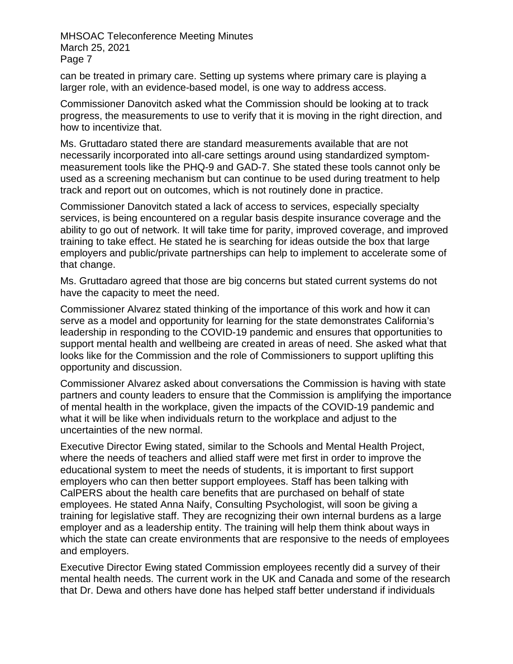can be treated in primary care. Setting up systems where primary care is playing a larger role, with an evidence-based model, is one way to address access.

Commissioner Danovitch asked what the Commission should be looking at to track progress, the measurements to use to verify that it is moving in the right direction, and how to incentivize that.

Ms. Gruttadaro stated there are standard measurements available that are not necessarily incorporated into all-care settings around using standardized symptommeasurement tools like the PHQ-9 and GAD-7. She stated these tools cannot only be used as a screening mechanism but can continue to be used during treatment to help track and report out on outcomes, which is not routinely done in practice.

Commissioner Danovitch stated a lack of access to services, especially specialty services, is being encountered on a regular basis despite insurance coverage and the ability to go out of network. It will take time for parity, improved coverage, and improved training to take effect. He stated he is searching for ideas outside the box that large employers and public/private partnerships can help to implement to accelerate some of that change.

Ms. Gruttadaro agreed that those are big concerns but stated current systems do not have the capacity to meet the need.

Commissioner Alvarez stated thinking of the importance of this work and how it can serve as a model and opportunity for learning for the state demonstrates California's leadership in responding to the COVID-19 pandemic and ensures that opportunities to support mental health and wellbeing are created in areas of need. She asked what that looks like for the Commission and the role of Commissioners to support uplifting this opportunity and discussion.

Commissioner Alvarez asked about conversations the Commission is having with state partners and county leaders to ensure that the Commission is amplifying the importance of mental health in the workplace, given the impacts of the COVID-19 pandemic and what it will be like when individuals return to the workplace and adjust to the uncertainties of the new normal.

Executive Director Ewing stated, similar to the Schools and Mental Health Project, where the needs of teachers and allied staff were met first in order to improve the educational system to meet the needs of students, it is important to first support employers who can then better support employees. Staff has been talking with CalPERS about the health care benefits that are purchased on behalf of state employees. He stated Anna Naify, Consulting Psychologist, will soon be giving a training for legislative staff. They are recognizing their own internal burdens as a large employer and as a leadership entity. The training will help them think about ways in which the state can create environments that are responsive to the needs of employees and employers.

Executive Director Ewing stated Commission employees recently did a survey of their mental health needs. The current work in the UK and Canada and some of the research that Dr. Dewa and others have done has helped staff better understand if individuals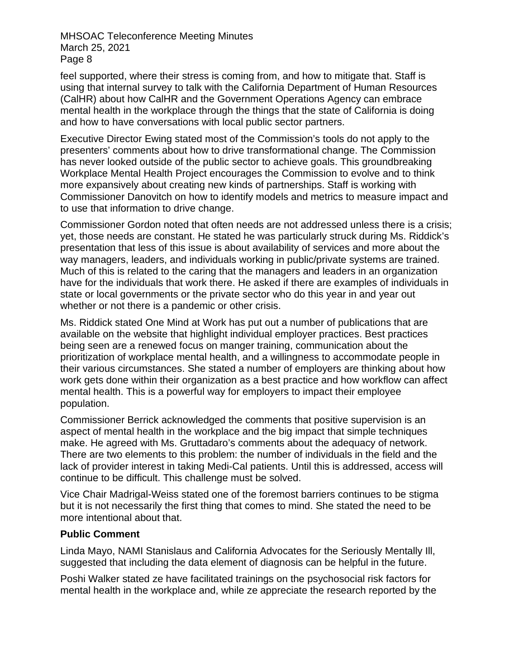feel supported, where their stress is coming from, and how to mitigate that. Staff is using that internal survey to talk with the California Department of Human Resources (CalHR) about how CalHR and the Government Operations Agency can embrace mental health in the workplace through the things that the state of California is doing and how to have conversations with local public sector partners.

Executive Director Ewing stated most of the Commission's tools do not apply to the presenters' comments about how to drive transformational change. The Commission has never looked outside of the public sector to achieve goals. This groundbreaking Workplace Mental Health Project encourages the Commission to evolve and to think more expansively about creating new kinds of partnerships. Staff is working with Commissioner Danovitch on how to identify models and metrics to measure impact and to use that information to drive change.

Commissioner Gordon noted that often needs are not addressed unless there is a crisis; yet, those needs are constant. He stated he was particularly struck during Ms. Riddick's presentation that less of this issue is about availability of services and more about the way managers, leaders, and individuals working in public/private systems are trained. Much of this is related to the caring that the managers and leaders in an organization have for the individuals that work there. He asked if there are examples of individuals in state or local governments or the private sector who do this year in and year out whether or not there is a pandemic or other crisis.

Ms. Riddick stated One Mind at Work has put out a number of publications that are available on the website that highlight individual employer practices. Best practices being seen are a renewed focus on manger training, communication about the prioritization of workplace mental health, and a willingness to accommodate people in their various circumstances. She stated a number of employers are thinking about how work gets done within their organization as a best practice and how workflow can affect mental health. This is a powerful way for employers to impact their employee population.

Commissioner Berrick acknowledged the comments that positive supervision is an aspect of mental health in the workplace and the big impact that simple techniques make. He agreed with Ms. Gruttadaro's comments about the adequacy of network. There are two elements to this problem: the number of individuals in the field and the lack of provider interest in taking Medi-Cal patients. Until this is addressed, access will continue to be difficult. This challenge must be solved.

Vice Chair Madrigal-Weiss stated one of the foremost barriers continues to be stigma but it is not necessarily the first thing that comes to mind. She stated the need to be more intentional about that.

### **Public Comment**

Linda Mayo, NAMI Stanislaus and California Advocates for the Seriously Mentally Ill, suggested that including the data element of diagnosis can be helpful in the future.

Poshi Walker stated ze have facilitated trainings on the psychosocial risk factors for mental health in the workplace and, while ze appreciate the research reported by the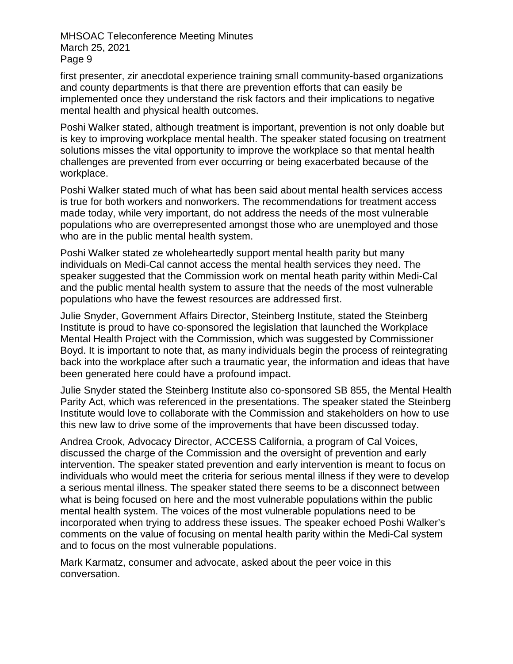first presenter, zir anecdotal experience training small community-based organizations and county departments is that there are prevention efforts that can easily be implemented once they understand the risk factors and their implications to negative mental health and physical health outcomes.

Poshi Walker stated, although treatment is important, prevention is not only doable but is key to improving workplace mental health. The speaker stated focusing on treatment solutions misses the vital opportunity to improve the workplace so that mental health challenges are prevented from ever occurring or being exacerbated because of the workplace.

Poshi Walker stated much of what has been said about mental health services access is true for both workers and nonworkers. The recommendations for treatment access made today, while very important, do not address the needs of the most vulnerable populations who are overrepresented amongst those who are unemployed and those who are in the public mental health system.

Poshi Walker stated ze wholeheartedly support mental health parity but many individuals on Medi-Cal cannot access the mental health services they need. The speaker suggested that the Commission work on mental heath parity within Medi-Cal and the public mental health system to assure that the needs of the most vulnerable populations who have the fewest resources are addressed first.

Julie Snyder, Government Affairs Director, Steinberg Institute, stated the Steinberg Institute is proud to have co-sponsored the legislation that launched the Workplace Mental Health Project with the Commission, which was suggested by Commissioner Boyd. It is important to note that, as many individuals begin the process of reintegrating back into the workplace after such a traumatic year, the information and ideas that have been generated here could have a profound impact.

Julie Snyder stated the Steinberg Institute also co-sponsored SB 855, the Mental Health Parity Act, which was referenced in the presentations. The speaker stated the Steinberg Institute would love to collaborate with the Commission and stakeholders on how to use this new law to drive some of the improvements that have been discussed today.

Andrea Crook, Advocacy Director, ACCESS California, a program of Cal Voices, discussed the charge of the Commission and the oversight of prevention and early intervention. The speaker stated prevention and early intervention is meant to focus on individuals who would meet the criteria for serious mental illness if they were to develop a serious mental illness. The speaker stated there seems to be a disconnect between what is being focused on here and the most vulnerable populations within the public mental health system. The voices of the most vulnerable populations need to be incorporated when trying to address these issues. The speaker echoed Poshi Walker's comments on the value of focusing on mental health parity within the Medi-Cal system and to focus on the most vulnerable populations.

Mark Karmatz, consumer and advocate, asked about the peer voice in this conversation.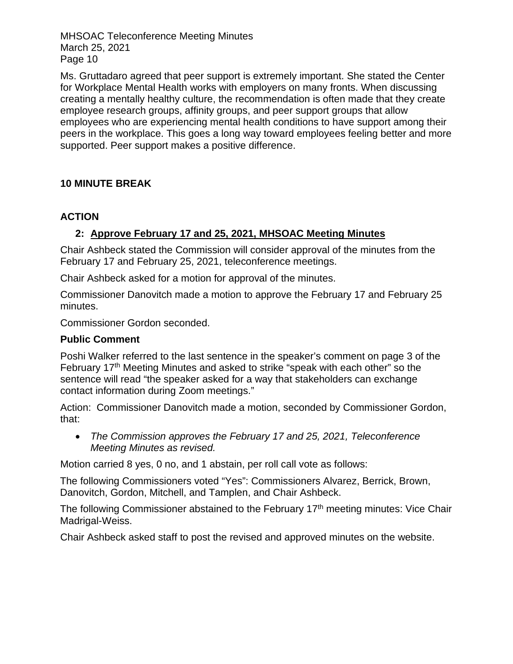Ms. Gruttadaro agreed that peer support is extremely important. She stated the Center for Workplace Mental Health works with employers on many fronts. When discussing creating a mentally healthy culture, the recommendation is often made that they create employee research groups, affinity groups, and peer support groups that allow employees who are experiencing mental health conditions to have support among their peers in the workplace. This goes a long way toward employees feeling better and more supported. Peer support makes a positive difference.

# **10 MINUTE BREAK**

# **ACTION**

# **2: Approve February 17 and 25, 2021, MHSOAC Meeting Minutes**

Chair Ashbeck stated the Commission will consider approval of the minutes from the February 17 and February 25, 2021, teleconference meetings.

Chair Ashbeck asked for a motion for approval of the minutes.

Commissioner Danovitch made a motion to approve the February 17 and February 25 minutes.

Commissioner Gordon seconded.

# **Public Comment**

Poshi Walker referred to the last sentence in the speaker's comment on page 3 of the February 17th Meeting Minutes and asked to strike "speak with each other" so the sentence will read "the speaker asked for a way that stakeholders can exchange contact information during Zoom meetings."

Action: Commissioner Danovitch made a motion, seconded by Commissioner Gordon, that:

• *The Commission approves the February 17 and 25, 2021, Teleconference Meeting Minutes as revised.*

Motion carried 8 yes, 0 no, and 1 abstain, per roll call vote as follows:

The following Commissioners voted "Yes": Commissioners Alvarez, Berrick, Brown, Danovitch, Gordon, Mitchell, and Tamplen, and Chair Ashbeck.

The following Commissioner abstained to the February 17<sup>th</sup> meeting minutes: Vice Chair Madrigal-Weiss.

Chair Ashbeck asked staff to post the revised and approved minutes on the website.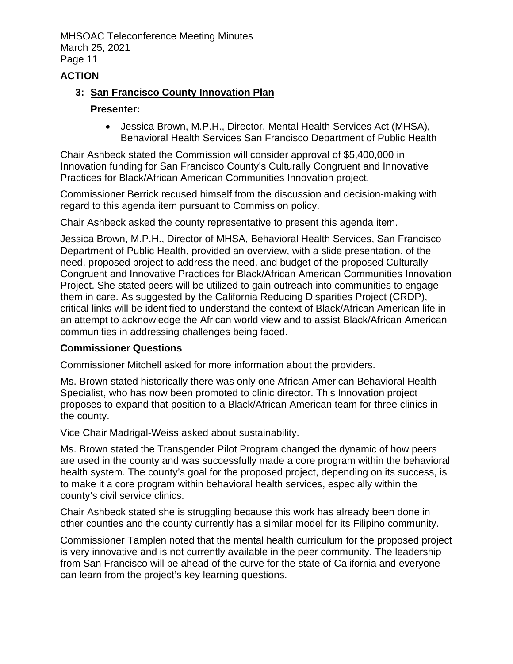# **ACTION**

### **3: San Francisco County Innovation Plan**

#### **Presenter:**

• Jessica Brown, M.P.H., Director, Mental Health Services Act (MHSA), Behavioral Health Services San Francisco Department of Public Health

Chair Ashbeck stated the Commission will consider approval of \$5,400,000 in Innovation funding for San Francisco County's Culturally Congruent and Innovative Practices for Black/African American Communities Innovation project.

Commissioner Berrick recused himself from the discussion and decision-making with regard to this agenda item pursuant to Commission policy.

Chair Ashbeck asked the county representative to present this agenda item.

Jessica Brown, M.P.H., Director of MHSA, Behavioral Health Services, San Francisco Department of Public Health, provided an overview, with a slide presentation, of the need, proposed project to address the need, and budget of the proposed Culturally Congruent and Innovative Practices for Black/African American Communities Innovation Project. She stated peers will be utilized to gain outreach into communities to engage them in care. As suggested by the California Reducing Disparities Project (CRDP), critical links will be identified to understand the context of Black/African American life in an attempt to acknowledge the African world view and to assist Black/African American communities in addressing challenges being faced.

### **Commissioner Questions**

Commissioner Mitchell asked for more information about the providers.

Ms. Brown stated historically there was only one African American Behavioral Health Specialist, who has now been promoted to clinic director. This Innovation project proposes to expand that position to a Black/African American team for three clinics in the county.

Vice Chair Madrigal-Weiss asked about sustainability.

Ms. Brown stated the Transgender Pilot Program changed the dynamic of how peers are used in the county and was successfully made a core program within the behavioral health system. The county's goal for the proposed project, depending on its success, is to make it a core program within behavioral health services, especially within the county's civil service clinics.

Chair Ashbeck stated she is struggling because this work has already been done in other counties and the county currently has a similar model for its Filipino community.

Commissioner Tamplen noted that the mental health curriculum for the proposed project is very innovative and is not currently available in the peer community. The leadership from San Francisco will be ahead of the curve for the state of California and everyone can learn from the project's key learning questions.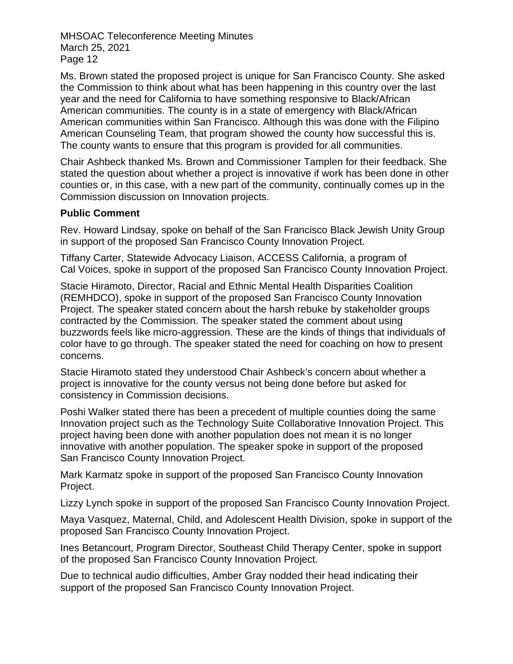Ms. Brown stated the proposed project is unique for San Francisco County. She asked the Commission to think about what has been happening in this country over the last year and the need for California to have something responsive to Black/African American communities. The county is in a state of emergency with Black/African American communities within San Francisco. Although this was done with the Filipino American Counseling Team, that program showed the county how successful this is. The county wants to ensure that this program is provided for all communities.

Chair Ashbeck thanked Ms. Brown and Commissioner Tamplen for their feedback. She stated the question about whether a project is innovative if work has been done in other counties or, in this case, with a new part of the community, continually comes up in the Commission discussion on Innovation projects.

### **Public Comment**

Rev. Howard Lindsay, spoke on behalf of the San Francisco Black Jewish Unity Group in support of the proposed San Francisco County Innovation Project.

Tiffany Carter, Statewide Advocacy Liaison, ACCESS California, a program of Cal Voices, spoke in support of the proposed San Francisco County Innovation Project.

Stacie Hiramoto, Director, Racial and Ethnic Mental Health Disparities Coalition (REMHDCO), spoke in support of the proposed San Francisco County Innovation Project. The speaker stated concern about the harsh rebuke by stakeholder groups contracted by the Commission. The speaker stated the comment about using buzzwords feels like micro-aggression. These are the kinds of things that individuals of color have to go through. The speaker stated the need for coaching on how to present concerns.

Stacie Hiramoto stated they understood Chair Ashbeck's concern about whether a project is innovative for the county versus not being done before but asked for consistency in Commission decisions.

Poshi Walker stated there has been a precedent of multiple counties doing the same Innovation project such as the Technology Suite Collaborative Innovation Project. This project having been done with another population does not mean it is no longer innovative with another population. The speaker spoke in support of the proposed San Francisco County Innovation Project.

Mark Karmatz spoke in support of the proposed San Francisco County Innovation Project.

Lizzy Lynch spoke in support of the proposed San Francisco County Innovation Project.

Maya Vasquez, Maternal, Child, and Adolescent Health Division, spoke in support of the proposed San Francisco County Innovation Project.

Ines Betancourt, Program Director, Southeast Child Therapy Center, spoke in support of the proposed San Francisco County Innovation Project.

Due to technical audio difficulties, Amber Gray nodded their head indicating their support of the proposed San Francisco County Innovation Project.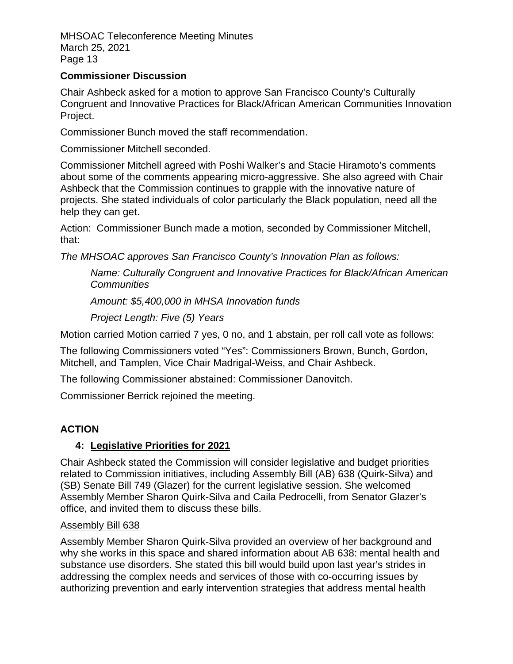### **Commissioner Discussion**

Chair Ashbeck asked for a motion to approve San Francisco County's Culturally Congruent and Innovative Practices for Black/African American Communities Innovation Project.

Commissioner Bunch moved the staff recommendation.

Commissioner Mitchell seconded.

Commissioner Mitchell agreed with Poshi Walker's and Stacie Hiramoto's comments about some of the comments appearing micro-aggressive. She also agreed with Chair Ashbeck that the Commission continues to grapple with the innovative nature of projects. She stated individuals of color particularly the Black population, need all the help they can get.

Action: Commissioner Bunch made a motion, seconded by Commissioner Mitchell, that:

*The MHSOAC approves San Francisco County's Innovation Plan as follows:*

*Name: Culturally Congruent and Innovative Practices for Black/African American Communities*

*Amount: \$5,400,000 in MHSA Innovation funds*

*Project Length: Five (5) Years*

Motion carried Motion carried 7 yes, 0 no, and 1 abstain, per roll call vote as follows:

The following Commissioners voted "Yes": Commissioners Brown, Bunch, Gordon, Mitchell, and Tamplen, Vice Chair Madrigal-Weiss, and Chair Ashbeck.

The following Commissioner abstained: Commissioner Danovitch.

Commissioner Berrick rejoined the meeting.

# **ACTION**

# **4: Legislative Priorities for 2021**

Chair Ashbeck stated the Commission will consider legislative and budget priorities related to Commission initiatives, including Assembly Bill (AB) 638 (Quirk-Silva) and (SB) Senate Bill 749 (Glazer) for the current legislative session. She welcomed Assembly Member Sharon Quirk-Silva and Caila Pedrocelli, from Senator Glazer's office, and invited them to discuss these bills.

### Assembly Bill 638

Assembly Member Sharon Quirk-Silva provided an overview of her background and why she works in this space and shared information about AB 638: mental health and substance use disorders. She stated this bill would build upon last year's strides in addressing the complex needs and services of those with co-occurring issues by authorizing prevention and early intervention strategies that address mental health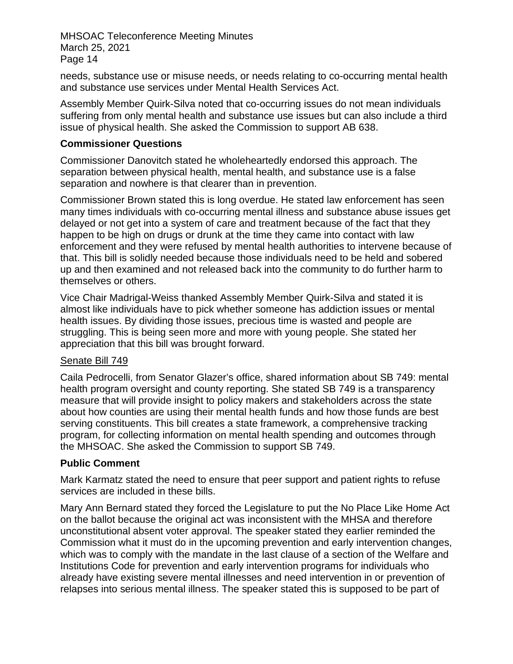needs, substance use or misuse needs, or needs relating to co-occurring mental health and substance use services under Mental Health Services Act.

Assembly Member Quirk-Silva noted that co-occurring issues do not mean individuals suffering from only mental health and substance use issues but can also include a third issue of physical health. She asked the Commission to support AB 638.

### **Commissioner Questions**

Commissioner Danovitch stated he wholeheartedly endorsed this approach. The separation between physical health, mental health, and substance use is a false separation and nowhere is that clearer than in prevention.

Commissioner Brown stated this is long overdue. He stated law enforcement has seen many times individuals with co-occurring mental illness and substance abuse issues get delayed or not get into a system of care and treatment because of the fact that they happen to be high on drugs or drunk at the time they came into contact with law enforcement and they were refused by mental health authorities to intervene because of that. This bill is solidly needed because those individuals need to be held and sobered up and then examined and not released back into the community to do further harm to themselves or others.

Vice Chair Madrigal-Weiss thanked Assembly Member Quirk-Silva and stated it is almost like individuals have to pick whether someone has addiction issues or mental health issues. By dividing those issues, precious time is wasted and people are struggling. This is being seen more and more with young people. She stated her appreciation that this bill was brought forward.

### Senate Bill 749

Caila Pedrocelli, from Senator Glazer's office, shared information about SB 749: mental health program oversight and county reporting. She stated SB 749 is a transparency measure that will provide insight to policy makers and stakeholders across the state about how counties are using their mental health funds and how those funds are best serving constituents. This bill creates a state framework, a comprehensive tracking program, for collecting information on mental health spending and outcomes through the MHSOAC. She asked the Commission to support SB 749.

# **Public Comment**

Mark Karmatz stated the need to ensure that peer support and patient rights to refuse services are included in these bills.

Mary Ann Bernard stated they forced the Legislature to put the No Place Like Home Act on the ballot because the original act was inconsistent with the MHSA and therefore unconstitutional absent voter approval. The speaker stated they earlier reminded the Commission what it must do in the upcoming prevention and early intervention changes, which was to comply with the mandate in the last clause of a section of the Welfare and Institutions Code for prevention and early intervention programs for individuals who already have existing severe mental illnesses and need intervention in or prevention of relapses into serious mental illness. The speaker stated this is supposed to be part of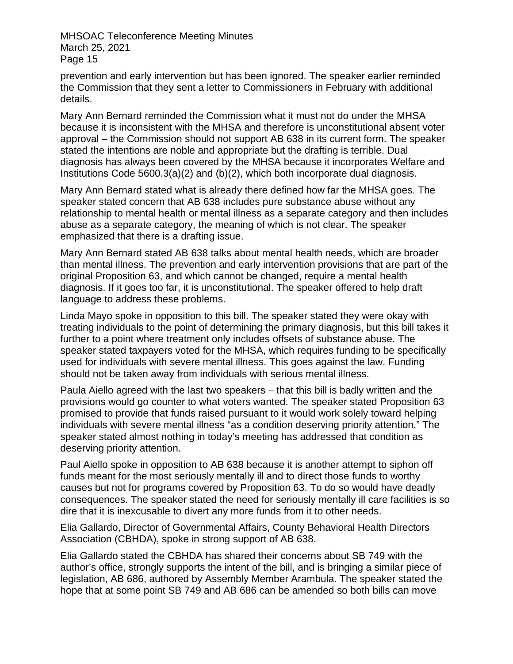prevention and early intervention but has been ignored. The speaker earlier reminded the Commission that they sent a letter to Commissioners in February with additional details.

Mary Ann Bernard reminded the Commission what it must not do under the MHSA because it is inconsistent with the MHSA and therefore is unconstitutional absent voter approval – the Commission should not support AB 638 in its current form. The speaker stated the intentions are noble and appropriate but the drafting is terrible. Dual diagnosis has always been covered by the MHSA because it incorporates Welfare and Institutions Code 5600.3(a)(2) and (b)(2), which both incorporate dual diagnosis.

Mary Ann Bernard stated what is already there defined how far the MHSA goes. The speaker stated concern that AB 638 includes pure substance abuse without any relationship to mental health or mental illness as a separate category and then includes abuse as a separate category, the meaning of which is not clear. The speaker emphasized that there is a drafting issue.

Mary Ann Bernard stated AB 638 talks about mental health needs, which are broader than mental illness. The prevention and early intervention provisions that are part of the original Proposition 63, and which cannot be changed, require a mental health diagnosis. If it goes too far, it is unconstitutional. The speaker offered to help draft language to address these problems.

Linda Mayo spoke in opposition to this bill. The speaker stated they were okay with treating individuals to the point of determining the primary diagnosis, but this bill takes it further to a point where treatment only includes offsets of substance abuse. The speaker stated taxpayers voted for the MHSA, which requires funding to be specifically used for individuals with severe mental illness. This goes against the law. Funding should not be taken away from individuals with serious mental illness.

Paula Aiello agreed with the last two speakers – that this bill is badly written and the provisions would go counter to what voters wanted. The speaker stated Proposition 63 promised to provide that funds raised pursuant to it would work solely toward helping individuals with severe mental illness "as a condition deserving priority attention." The speaker stated almost nothing in today's meeting has addressed that condition as deserving priority attention.

Paul Aiello spoke in opposition to AB 638 because it is another attempt to siphon off funds meant for the most seriously mentally ill and to direct those funds to worthy causes but not for programs covered by Proposition 63. To do so would have deadly consequences. The speaker stated the need for seriously mentally ill care facilities is so dire that it is inexcusable to divert any more funds from it to other needs.

Elia Gallardo, Director of Governmental Affairs, County Behavioral Health Directors Association (CBHDA), spoke in strong support of AB 638.

Elia Gallardo stated the CBHDA has shared their concerns about SB 749 with the author's office, strongly supports the intent of the bill, and is bringing a similar piece of legislation, AB 686, authored by Assembly Member Arambula. The speaker stated the hope that at some point SB 749 and AB 686 can be amended so both bills can move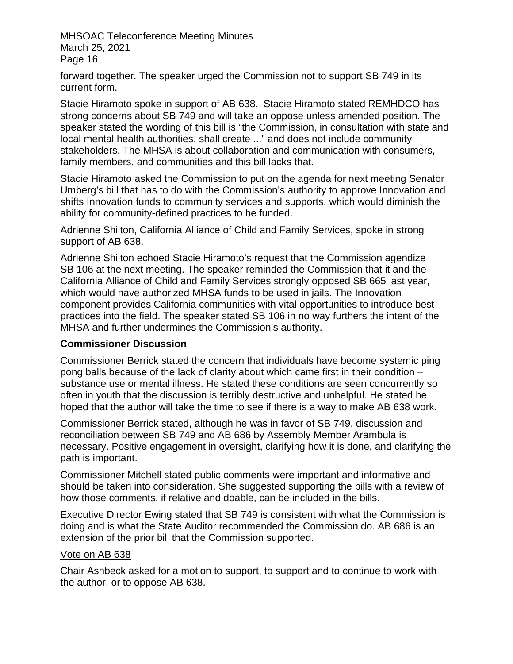forward together. The speaker urged the Commission not to support SB 749 in its current form.

Stacie Hiramoto spoke in support of AB 638. Stacie Hiramoto stated REMHDCO has strong concerns about SB 749 and will take an oppose unless amended position. The speaker stated the wording of this bill is "the Commission, in consultation with state and local mental health authorities, shall create ..." and does not include community stakeholders. The MHSA is about collaboration and communication with consumers, family members, and communities and this bill lacks that.

Stacie Hiramoto asked the Commission to put on the agenda for next meeting Senator Umberg's bill that has to do with the Commission's authority to approve Innovation and shifts Innovation funds to community services and supports, which would diminish the ability for community-defined practices to be funded.

Adrienne Shilton, California Alliance of Child and Family Services, spoke in strong support of AB 638.

Adrienne Shilton echoed Stacie Hiramoto's request that the Commission agendize SB 106 at the next meeting. The speaker reminded the Commission that it and the California Alliance of Child and Family Services strongly opposed SB 665 last year, which would have authorized MHSA funds to be used in jails. The Innovation component provides California communities with vital opportunities to introduce best practices into the field. The speaker stated SB 106 in no way furthers the intent of the MHSA and further undermines the Commission's authority.

### **Commissioner Discussion**

Commissioner Berrick stated the concern that individuals have become systemic ping pong balls because of the lack of clarity about which came first in their condition – substance use or mental illness. He stated these conditions are seen concurrently so often in youth that the discussion is terribly destructive and unhelpful. He stated he hoped that the author will take the time to see if there is a way to make AB 638 work.

Commissioner Berrick stated, although he was in favor of SB 749, discussion and reconciliation between SB 749 and AB 686 by Assembly Member Arambula is necessary. Positive engagement in oversight, clarifying how it is done, and clarifying the path is important.

Commissioner Mitchell stated public comments were important and informative and should be taken into consideration. She suggested supporting the bills with a review of how those comments, if relative and doable, can be included in the bills.

Executive Director Ewing stated that SB 749 is consistent with what the Commission is doing and is what the State Auditor recommended the Commission do. AB 686 is an extension of the prior bill that the Commission supported.

### Vote on AB 638

Chair Ashbeck asked for a motion to support, to support and to continue to work with the author, or to oppose AB 638.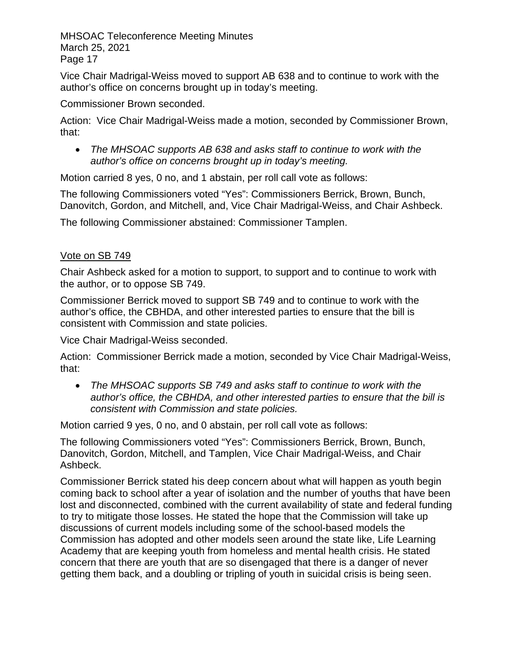Vice Chair Madrigal-Weiss moved to support AB 638 and to continue to work with the author's office on concerns brought up in today's meeting.

Commissioner Brown seconded.

Action: Vice Chair Madrigal-Weiss made a motion, seconded by Commissioner Brown, that:

• *The MHSOAC supports AB 638 and asks staff to continue to work with the author's office on concerns brought up in today's meeting.*

Motion carried 8 yes, 0 no, and 1 abstain, per roll call vote as follows:

The following Commissioners voted "Yes": Commissioners Berrick, Brown, Bunch, Danovitch, Gordon, and Mitchell, and, Vice Chair Madrigal-Weiss, and Chair Ashbeck.

The following Commissioner abstained: Commissioner Tamplen.

# Vote on SB 749

Chair Ashbeck asked for a motion to support, to support and to continue to work with the author, or to oppose SB 749.

Commissioner Berrick moved to support SB 749 and to continue to work with the author's office, the CBHDA, and other interested parties to ensure that the bill is consistent with Commission and state policies.

Vice Chair Madrigal-Weiss seconded.

Action: Commissioner Berrick made a motion, seconded by Vice Chair Madrigal-Weiss, that:

• *The MHSOAC supports SB 749 and asks staff to continue to work with the author's office, the CBHDA, and other interested parties to ensure that the bill is consistent with Commission and state policies.*

Motion carried 9 yes, 0 no, and 0 abstain, per roll call vote as follows:

The following Commissioners voted "Yes": Commissioners Berrick, Brown, Bunch, Danovitch, Gordon, Mitchell, and Tamplen, Vice Chair Madrigal-Weiss, and Chair Ashbeck.

Commissioner Berrick stated his deep concern about what will happen as youth begin coming back to school after a year of isolation and the number of youths that have been lost and disconnected, combined with the current availability of state and federal funding to try to mitigate those losses. He stated the hope that the Commission will take up discussions of current models including some of the school-based models the Commission has adopted and other models seen around the state like, Life Learning Academy that are keeping youth from homeless and mental health crisis. He stated concern that there are youth that are so disengaged that there is a danger of never getting them back, and a doubling or tripling of youth in suicidal crisis is being seen.